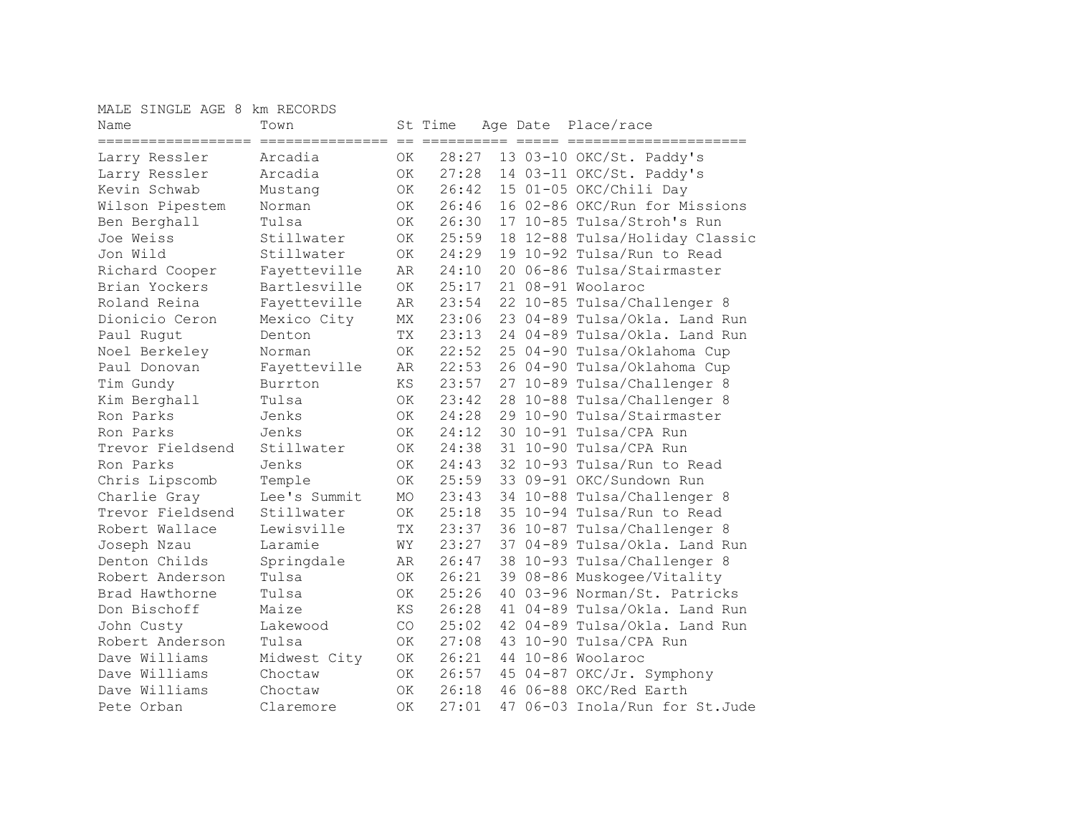MALE SINGLE AGE 8 km RECORDS

| Name                                                   | Town         |           | St Time                |    | Age Date Place/race            |
|--------------------------------------------------------|--------------|-----------|------------------------|----|--------------------------------|
| =====================================<br>Larry Ressler | Arcadia      | ΟK        | es sessessess<br>28:27 |    | 13 03-10 OKC/St. Paddy's       |
| Larry Ressler                                          | Arcadia      | 0K        | 27:28                  |    | 14 03-11 OKC/St. Paddy's       |
| Kevin Schwab                                           | Mustang      | 0K        | 26:42                  |    | 15 01-05 OKC/Chili Day         |
| Wilson Pipestem                                        | Norman       | OK        | 26:46                  |    | 16 02-86 OKC/Run for Missions  |
| Ben Berghall                                           | Tulsa        | OK        | 26:30                  |    | 17 10-85 Tulsa/Stroh's Run     |
| Joe Weiss                                              | Stillwater   | OK        | 25:59                  |    | 18 12-88 Tulsa/Holiday Classic |
| Jon Wild                                               | Stillwater   | OK        | 24:29                  |    | 19 10-92 Tulsa/Run to Read     |
| Richard Cooper                                         | Fayetteville | AR        | 24:10                  |    | 20 06-86 Tulsa/Stairmaster     |
| Brian Yockers                                          | Bartlesville | ОK        | 25:17                  |    | 21 08-91 Woolaroc              |
| Roland Reina                                           | Fayetteville | AR        | 23:54                  |    | 22 10-85 Tulsa/Challenger 8    |
| Dionicio Ceron                                         | Mexico City  | МX        | 23:06                  |    | 23 04-89 Tulsa/Okla. Land Run  |
| Paul Rugut                                             | Denton       | ТX        | 23:13                  |    | 24 04-89 Tulsa/Okla. Land Run  |
| Noel Berkeley                                          | Norman       | ΟK        | 22:52                  |    | 25 04-90 Tulsa/Oklahoma Cup    |
| Paul Donovan                                           | Fayetteville | AR        | 22:53                  |    | 26 04-90 Tulsa/Oklahoma Cup    |
| Tim Gundy                                              | Burrton      | ΚS        | 23:57                  |    | 27 10-89 Tulsa/Challenger 8    |
| Kim Berghall                                           | Tulsa        | 0K        | 23:42                  |    | 28 10-88 Tulsa/Challenger 8    |
| Ron Parks                                              | Jenks        | OK.       | 24:28                  |    | 29 10-90 Tulsa/Stairmaster     |
| Ron Parks                                              | Jenks        | 0K        | 24:12                  |    | 30 10-91 Tulsa/CPA Run         |
| Trevor Fieldsend                                       | Stillwater   | 0K        | 24:38                  |    | 31 10-90 Tulsa/CPA Run         |
| Ron Parks                                              | Jenks        | OK        | 24:43                  |    | 32 10-93 Tulsa/Run to Read     |
| Chris Lipscomb                                         | Temple       | <b>OK</b> | 25:59                  |    | 33 09-91 OKC/Sundown Run       |
| Charlie Gray                                           | Lee's Summit | MO        | 23:43                  |    | 34 10-88 Tulsa/Challenger 8    |
| Trevor Fieldsend                                       | Stillwater   | 0K        | 25:18                  |    | 35 10-94 Tulsa/Run to Read     |
| Robert Wallace                                         | Lewisville   | TX        | 23:37                  |    | 36 10-87 Tulsa/Challenger 8    |
| Joseph Nzau                                            | Laramie      | WΥ        | 23:27                  |    | 37 04-89 Tulsa/Okla. Land Run  |
| Denton Childs                                          | Springdale   | AR        | 26:47                  |    | 38 10-93 Tulsa/Challenger 8    |
| Robert Anderson                                        | Tulsa        | 0K        | 26:21                  |    | 39 08-86 Muskogee/Vitality     |
| Brad Hawthorne                                         | Tulsa        | 0K        | 25:26                  |    | 40 03-96 Norman/St. Patricks   |
| Don Bischoff                                           | Maize        | ΚS        | 26:28                  |    | 41 04-89 Tulsa/Okla. Land Run  |
| John Custy                                             | Lakewood     | CO        | 25:02                  |    | 42 04-89 Tulsa/Okla. Land Run  |
| Robert Anderson                                        | Tulsa        | <b>OK</b> | 27:08                  |    | 43 10-90 Tulsa/CPA Run         |
| Dave Williams                                          | Midwest City | ΟK        | 26:21                  |    | 44 10-86 Woolaroc              |
| Dave Williams                                          | Choctaw      | OK        | 26:57                  |    | 45 04-87 OKC/Jr. Symphony      |
| Dave Williams                                          | Choctaw      | OK        | 26:18                  |    | 46 06-88 OKC/Red Earth         |
| Pete Orban                                             | Claremore    | OK        | 27:01                  | 47 | 06-03 Inola/Run for St.Jude    |